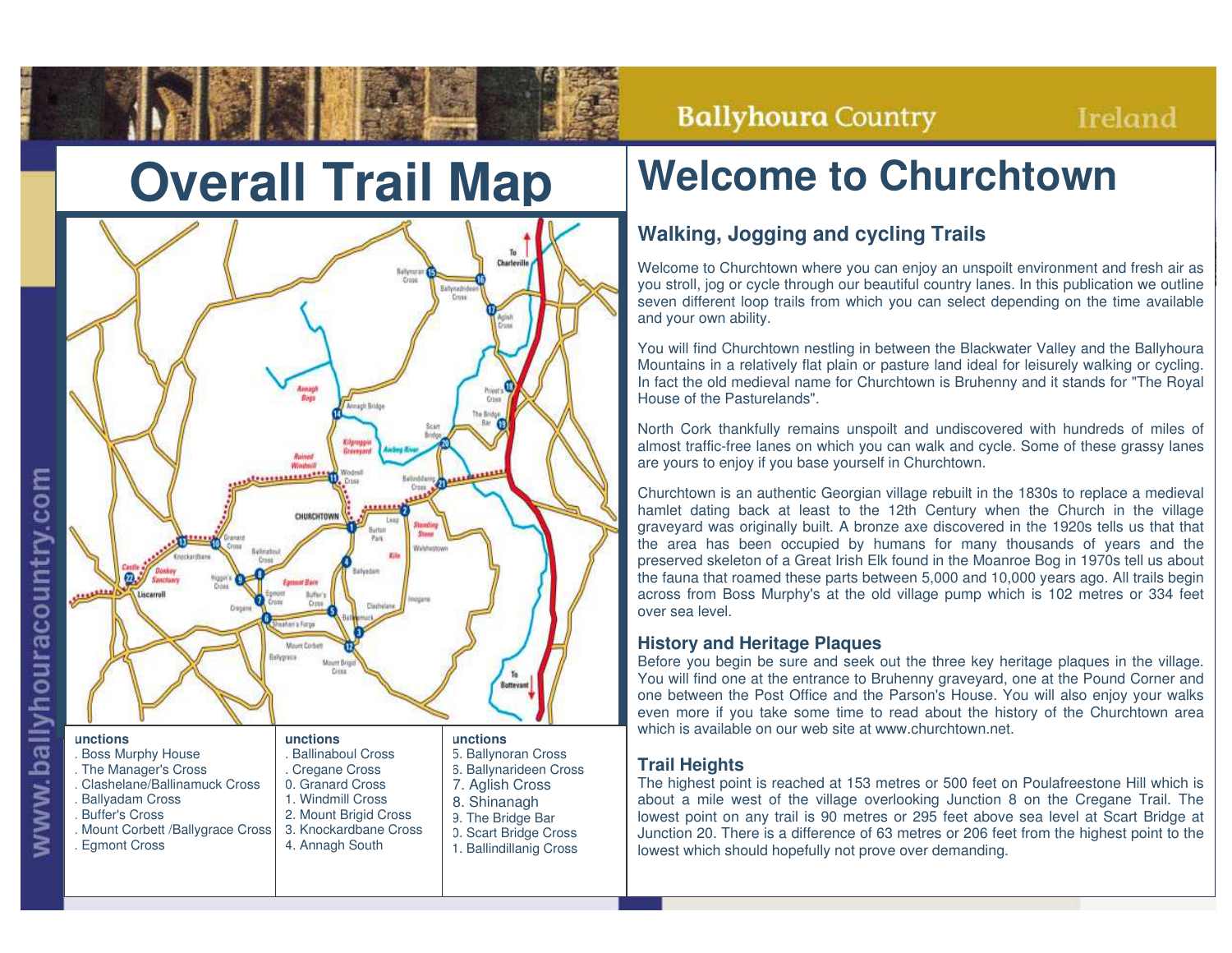**Ballyhoura Country** 

Ireland

# **Overall Trail Map**



## **Welcome to Churchtown**

### **Walking, Jogging and cycling Trails**

Welcome to Churchtown where you can enjoy an unspoilt environment and fresh air as you stroll, jog or cycle through our beautiful country lanes. In this publication we outline seven different loop trails from which you can select depending on the time available and your own ability.

You will find Churchtown nestling in between the Blackwater Valley and the Ballyhoura Mountains in <sup>a</sup> relatively flat plain or pasture land ideal for leisurely walking or cycling. In fact the old medieval name for Churchtown is Bruhenny and it stands for "The Royal House of the Pasturelands".

North Cork thankfully remains unspoilt and undiscovered with hundreds of miles of almost traffic-free lanes on which you can walk and cycle. Some of these grassy lanes are yours to enjoy if you base yourself in Churchtown.

Churchtown is an authentic Georgian village rebuilt in the 1830s to replace <sup>a</sup> medieval hamlet dating back at least to the 12th Century when the Church in the village graveyard was originally built. A bronze axe discovered in the 1920s tells us that that the area has been occupied by humans for many thousands of years and the preserved skeleton of <sup>a</sup> Great Irish Elk found in the Moanroe Bog in 1970s tell us about the fauna that roamed these parts between 5,000 and 10,000 years ago. All trails begin across from Boss Murphy's at the old village pump which is 102 metres or 334 feet over sea level.

#### **History and Heritage Plaques**

Before you begin be sure and seek out the three key heritage plaques in the village. You will find one at the entrance to Bruhenny graveyard, one at the Pound Corner and one between the Post Office and the Parson's House. You will also enjoy your walks even more if you take some time to read about the history of the Churchtown area which is available on our web site at www.churchtown.net.

#### **Trail Heights**

The highest point is reached at 153 metres or 500 feet on Poulafreestone Hill which is about a mile west of the village overlooking Junction 8 on the Cregane Trail. The lowest point on any trail is 90 metres or 295 feet above sea level at Scart Bridge at Junction 20. There is a difference of 63 metres or 206 feet from the highest point to the lowest which should hopefully not prove over demanding.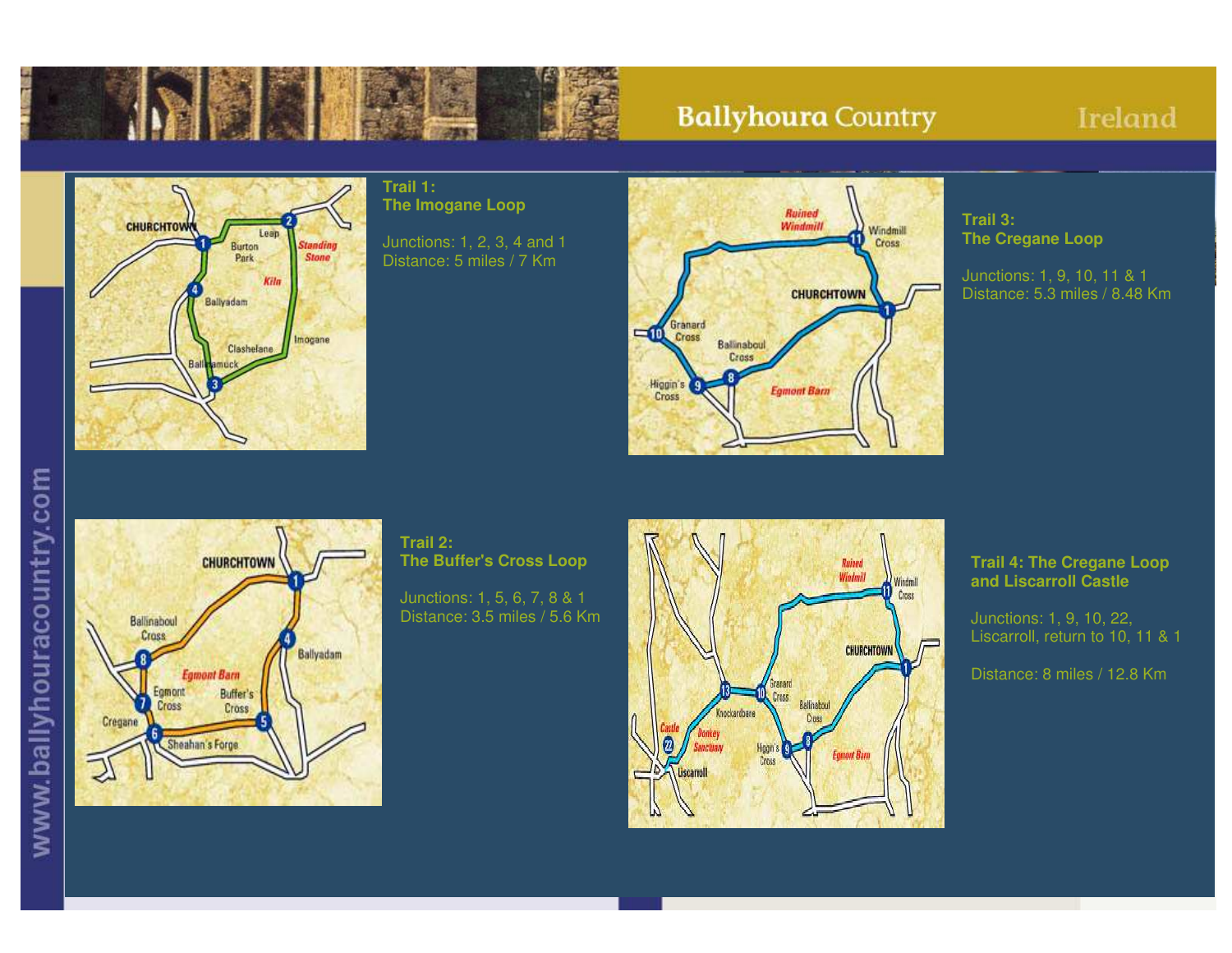

## **Ballyhoura Country**

## Ireland



#### **Trail 1: The Imogane Loop**

Junctions: 1, 2, 3, 4 and 1 Distance: 5 miles / 7 Km



#### **Trail 3:The Cregane Loop**

Junctions: 1, 9, 10, 11 & 1 Distance: 5.3 miles / 8.48 Km



#### **Trail 2:The Buffer's Cross Loop**

Junctions: 1, 5, 6, 7, 8 & 1 Distance: 3.5 miles / 5.6 Km



#### **Trail 4: The Cregane Loop and Liscarroll Castle**

Junctions: 1, 9, 10, 22, Liscarroll, return to 10, 11 & 1

Distance: 8 miles / 12.8 Km